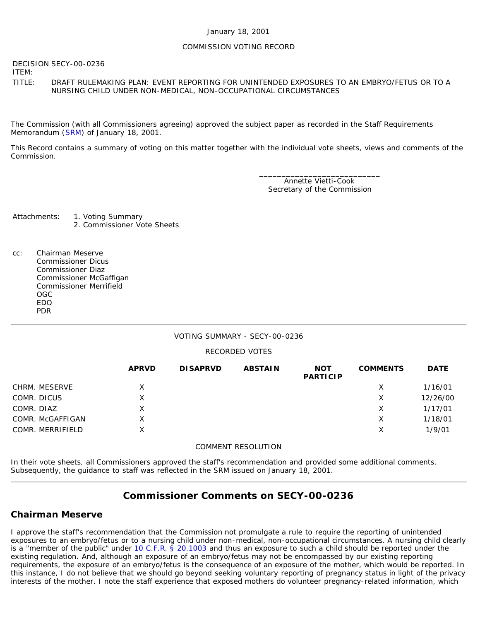#### January 18, 2001

### COMMISSION VOTING RECORD

DECISION SECY-00-0236

ITEM:

### TITLE: DRAFT RULEMAKING PLAN: EVENT REPORTING FOR UNINTENDED EXPOSURES TO AN EMBRYO/FETUS OR TO A NURSING CHILD UNDER NON-MEDICAL, NON-OCCUPATIONAL CIRCUMSTANCES

The Commission (with all Commissioners agreeing) approved the subject paper as recorded in the Staff Requirements Memorandum ([SRM\)](http://www.nrc.gov/reading-rm/doc-collections/commission/srm/2000/2000-0236srm.html) of January 18, 2001.

This Record contains a summary of voting on this matter together with the individual vote sheets, views and comments of the Commission.

> \_\_\_\_\_\_\_\_\_\_\_\_\_\_\_\_\_\_\_\_\_\_\_\_\_\_\_ Annette Vietti-Cook Secretary of the Commission

Attachments: 1. Voting Summary 2. Commissioner Vote Sheets

cc: Chairman Meserve Commissioner Dicus Commissioner Diaz Commissioner McGaffigan Commissioner Merrifield OGC EDO PDR

## VOTING SUMMARY - SECY-00-0236

## RECORDED VOTES

|                  | <b>APRVD</b> | <b>DISAPRVD</b> | <b>ABSTAIN</b> | <b>NOT</b><br><b>PARTICIP</b> | <b>COMMENTS</b> | <b>DATE</b> |
|------------------|--------------|-----------------|----------------|-------------------------------|-----------------|-------------|
| CHRM. MESERVE    | X            |                 |                |                               | Х               | 1/16/01     |
| COMR. DICUS      | X            |                 |                |                               | х               | 12/26/00    |
| COMR. DIAZ       | X            |                 |                |                               | Х               | 1/17/01     |
| COMR. McGAFFIGAN | X.           |                 |                |                               | Х               | 1/18/01     |
| COMR. MERRIFIELD | X            |                 |                |                               | Χ               | 1/9/01      |

#### COMMENT RESOLUTION

In their vote sheets, all Commissioners approved the staff's recommendation and provided some additional comments. Subsequently, the guidance to staff was reflected in the SRM issued on January 18, 2001.

# **Commissioner Comments on [SECY-00-0236](http://www.nrc.gov/reading-rm/doc-collections/commission/secys/2000/secy2000-0236/2000-0236scy.html)**

# **Chairman Meserve**

I approve the staff's recommendation that the Commission not promulgate a rule to require the reporting of unintended exposures to an embryo/fetus or to a nursing child under non-medical, non-occupational circumstances. A nursing child clearly is a "member of the public" under [10 C.F.R. § 20.1003](http://www.nrc.gov/reading-rm/doc-collections/cfr/part020/part020-1003.html) and thus an exposure to such a child should be reported under the existing regulation. And, although an exposure of an embryo/fetus may not be encompassed by our existing reporting requirements, the exposure of an embryo/fetus is the consequence of an exposure of the mother, which would be reported. In this instance, I do not believe that we should go beyond seeking voluntary reporting of pregnancy status in light of the privacy interests of the mother. I note the staff experience that exposed mothers do volunteer pregnancy-related information, which